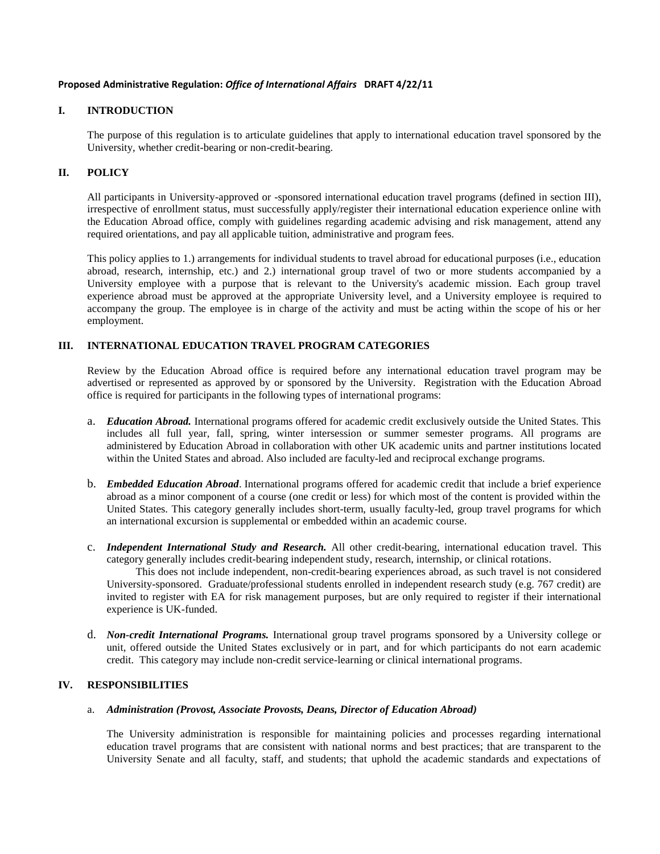### **Proposed Administrative Regulation:** *Office of International Affairs* **DRAFT 4/22/11**

## **I. INTRODUCTION**

The purpose of this regulation is to articulate guidelines that apply to international education travel sponsored by the University, whether credit-bearing or non-credit-bearing.

## **II. POLICY**

All participants in University-approved or -sponsored international education travel programs (defined in section III), irrespective of enrollment status, must successfully apply/register their international education experience online with the Education Abroad office, comply with guidelines regarding academic advising and risk management, attend any required orientations, and pay all applicable tuition, administrative and program fees.

This policy applies to 1.) arrangements for individual students to travel abroad for educational purposes (i.e., education abroad, research, internship, etc.) and 2.) international group travel of two or more students accompanied by a University employee with a purpose that is relevant to the University's academic mission. Each group travel experience abroad must be approved at the appropriate University level, and a University employee is required to accompany the group. The employee is in charge of the activity and must be acting within the scope of his or her employment.

# **III. INTERNATIONAL EDUCATION TRAVEL PROGRAM CATEGORIES**

Review by the Education Abroad office is required before any international education travel program may be advertised or represented as approved by or sponsored by the University. Registration with the Education Abroad office is required for participants in the following types of international programs:

- a. *Education Abroad.* International programs offered for academic credit exclusively outside the United States. This includes all full year, fall, spring, winter intersession or summer semester programs. All programs are administered by Education Abroad in collaboration with other UK academic units and partner institutions located within the United States and abroad. Also included are faculty-led and reciprocal exchange programs.
- b. *Embedded Education Abroad*. International programs offered for academic credit that include a brief experience abroad as a minor component of a course (one credit or less) for which most of the content is provided within the United States. This category generally includes short-term, usually faculty-led, group travel programs for which an international excursion is supplemental or embedded within an academic course.
- c. *Independent International Study and Research.* All other credit-bearing, international education travel. This category generally includes credit-bearing independent study, research, internship, or clinical rotations.

This does not include independent, non-credit-bearing experiences abroad, as such travel is not considered University-sponsored. Graduate/professional students enrolled in independent research study (e.g. 767 credit) are invited to register with EA for risk management purposes, but are only required to register if their international experience is UK-funded.

d. *Non-credit International Programs.* International group travel programs sponsored by a University college or unit, offered outside the United States exclusively or in part, and for which participants do not earn academic credit. This category may include non-credit service-learning or clinical international programs.

## **IV. RESPONSIBILITIES**

#### a. *Administration (Provost, Associate Provosts, Deans, Director of Education Abroad)*

The University administration is responsible for maintaining policies and processes regarding international education travel programs that are consistent with national norms and best practices; that are transparent to the University Senate and all faculty, staff, and students; that uphold the academic standards and expectations of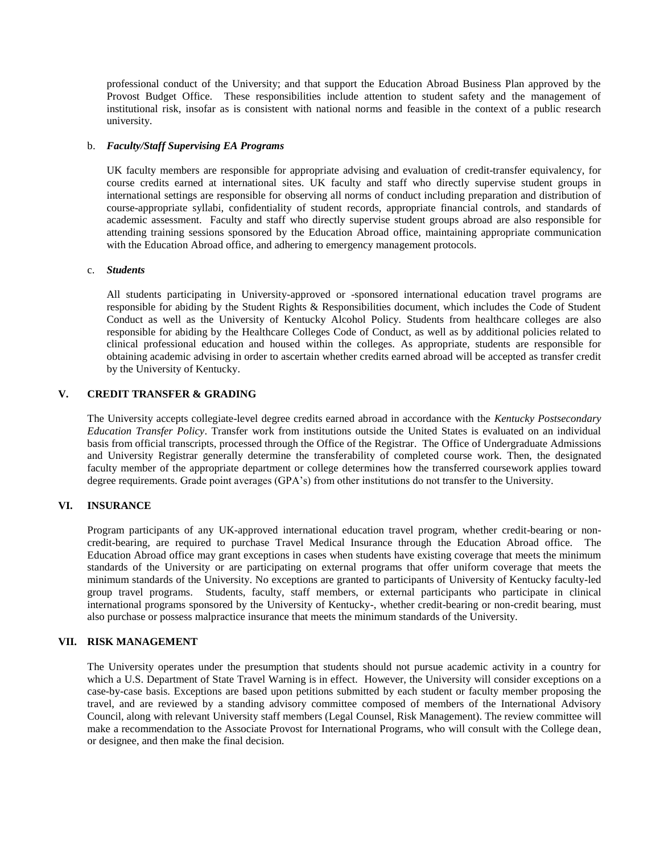professional conduct of the University; and that support the Education Abroad Business Plan approved by the Provost Budget Office. These responsibilities include attention to student safety and the management of institutional risk, insofar as is consistent with national norms and feasible in the context of a public research university.

#### b. *Faculty/Staff Supervising EA Programs*

UK faculty members are responsible for appropriate advising and evaluation of credit-transfer equivalency, for course credits earned at international sites. UK faculty and staff who directly supervise student groups in international settings are responsible for observing all norms of conduct including preparation and distribution of course-appropriate syllabi, confidentiality of student records, appropriate financial controls, and standards of academic assessment. Faculty and staff who directly supervise student groups abroad are also responsible for attending training sessions sponsored by the Education Abroad office, maintaining appropriate communication with the Education Abroad office, and adhering to emergency management protocols.

#### c. *Students*

All students participating in University-approved or -sponsored international education travel programs are responsible for abiding by the Student Rights & Responsibilities document, which includes the Code of Student Conduct as well as the University of Kentucky Alcohol Policy. Students from healthcare colleges are also responsible for abiding by the Healthcare Colleges Code of Conduct, as well as by additional policies related to clinical professional education and housed within the colleges. As appropriate, students are responsible for obtaining academic advising in order to ascertain whether credits earned abroad will be accepted as transfer credit by the University of Kentucky.

# **V. CREDIT TRANSFER & GRADING**

The University accepts collegiate-level degree credits earned abroad in accordance with the *Kentucky Postsecondary Education Transfer Policy*. Transfer work from institutions outside the United States is evaluated on an individual basis from official transcripts, processed through the Office of the Registrar. The Office of Undergraduate Admissions and University Registrar generally determine the transferability of completed course work. Then, the designated faculty member of the appropriate department or college determines how the transferred coursework applies toward degree requirements. Grade point averages (GPA's) from other institutions do not transfer to the University.

## **VI. INSURANCE**

Program participants of any UK-approved international education travel program, whether credit-bearing or noncredit-bearing, are required to purchase Travel Medical Insurance through the Education Abroad office. The Education Abroad office may grant exceptions in cases when students have existing coverage that meets the minimum standards of the University or are participating on external programs that offer uniform coverage that meets the minimum standards of the University. No exceptions are granted to participants of University of Kentucky faculty-led group travel programs. Students, faculty, staff members, or external participants who participate in clinical international programs sponsored by the University of Kentucky-, whether credit-bearing or non-credit bearing, must also purchase or possess malpractice insurance that meets the minimum standards of the University.

#### **VII. RISK MANAGEMENT**

The University operates under the presumption that students should not pursue academic activity in a country for which a U.S. Department of State Travel Warning is in effect. However, the University will consider exceptions on a case-by-case basis. Exceptions are based upon petitions submitted by each student or faculty member proposing the travel, and are reviewed by a standing advisory committee composed of members of the International Advisory Council, along with relevant University staff members (Legal Counsel, Risk Management). The review committee will make a recommendation to the Associate Provost for International Programs, who will consult with the College dean, or designee, and then make the final decision.